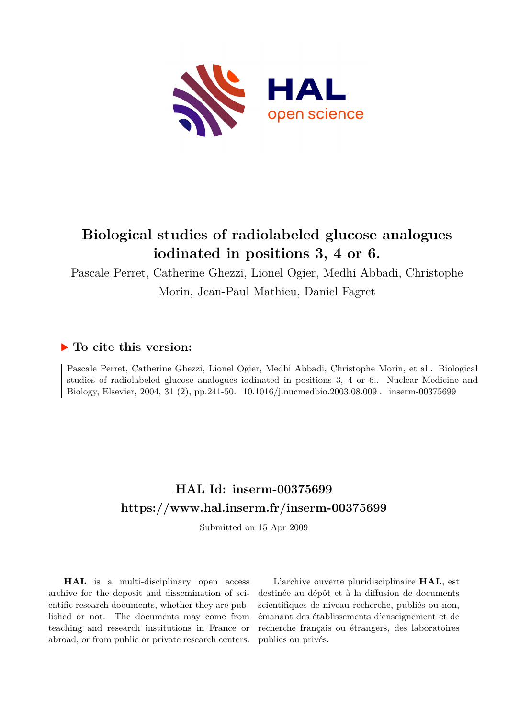

# **Biological studies of radiolabeled glucose analogues iodinated in positions 3, 4 or 6.**

Pascale Perret, Catherine Ghezzi, Lionel Ogier, Medhi Abbadi, Christophe Morin, Jean-Paul Mathieu, Daniel Fagret

## **To cite this version:**

Pascale Perret, Catherine Ghezzi, Lionel Ogier, Medhi Abbadi, Christophe Morin, et al.. Biological studies of radiolabeled glucose analogues iodinated in positions 3, 4 or 6.. Nuclear Medicine and Biology, Elsevier, 2004, 31 (2), pp.241-50. 10.1016/j.nucmedbio.2003.08.009. inserm-00375699

# **HAL Id: inserm-00375699 <https://www.hal.inserm.fr/inserm-00375699>**

Submitted on 15 Apr 2009

**HAL** is a multi-disciplinary open access archive for the deposit and dissemination of scientific research documents, whether they are published or not. The documents may come from teaching and research institutions in France or abroad, or from public or private research centers.

L'archive ouverte pluridisciplinaire **HAL**, est destinée au dépôt et à la diffusion de documents scientifiques de niveau recherche, publiés ou non, émanant des établissements d'enseignement et de recherche français ou étrangers, des laboratoires publics ou privés.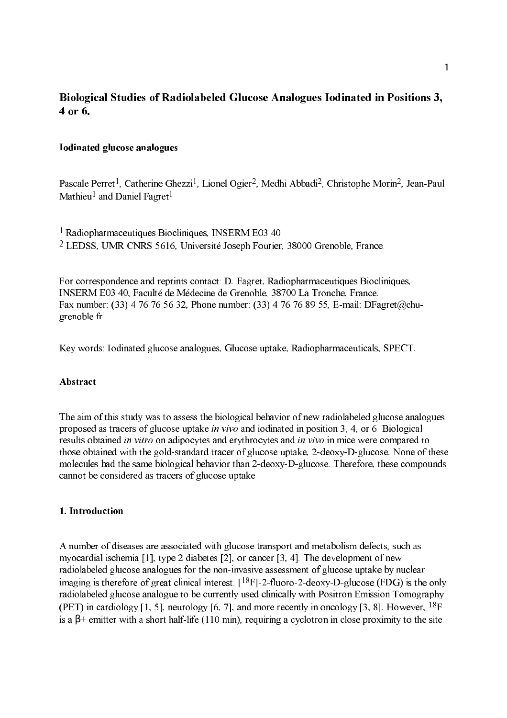## Biological Studies of Radiolabeled Glucose Analogues Iodinated in Positions 3, 4 or 6.

## **Iodinated glucose analogues**

Pascale Perret<sup>1</sup>, Catherine Ghezzi<sup>1</sup>, Lionel Ogier<sup>2</sup>, Medhi Abbadi<sup>2</sup>, Christophe Morin<sup>2</sup>, Jean-Paul Mathieu<sup>1</sup> and Daniel Fagret<sup>1</sup>

<sup>1</sup> Radiopharmaceutiques Biocliniques, INSERM E03 40 <sup>2</sup> LEDSS, UMR CNRS 5616, Université Joseph Fourier, 38000 Grenoble, France.

For correspondence and reprints contact: D. Fagret, Radiopharmaceutiques Biocliniques, INSERM E03 40, Faculté de Médecine de Grenoble, 38700 La Tronche, France. Fax number: (33) 4 76 76 56 32. Phone number: (33) 4 76 76 89 55, E-mail: DFagret@chugrenoble.fr

Key words: Iodinated glucose analogues, Glucose uptake, Radiopharmaceuticals, SPECT.

## Abstract

The aim of this study was to assess the biological behavior of new radiolabeled glucose analogues proposed as tracers of glucose uptake *in vivo* and iodinated in position 3, 4, or 6. Biological results obtained in vitro on adipocytes and erythrocytes and in vivo in mice were compared to those obtained with the gold-standard tracer of glucose uptake, 2-deoxy-D-glucose. None of these molecules had the same biological behavior than 2-deoxy-D-glucose. Therefore, these compounds cannot be considered as tracers of glucose uptake.

## 1. Introduction

A number of diseases are associated with glucose transport and metabolism defects, such as myocardial ischemia [1], type 2 diabetes [2], or cancer [3, 4]. The development of new radiolabeled glucose analogues for the non-invasive assessment of glucose uptake by nuclear imaging is therefore of great clinical interest.  $[18F]$ -2-fluoro-2-deoxy-D-glucose (FDG) is the only radiolabeled glucose analogue to be currently used clinically with Positron Emission Tomography (PET) in cardiology [1, 5], neurology [6, 7], and more recently in oncology [3, 8]. However,  $^{18}F$ is a  $\beta$ + emitter with a short half-life (110 min), requiring a cyclotron in close proximity to the site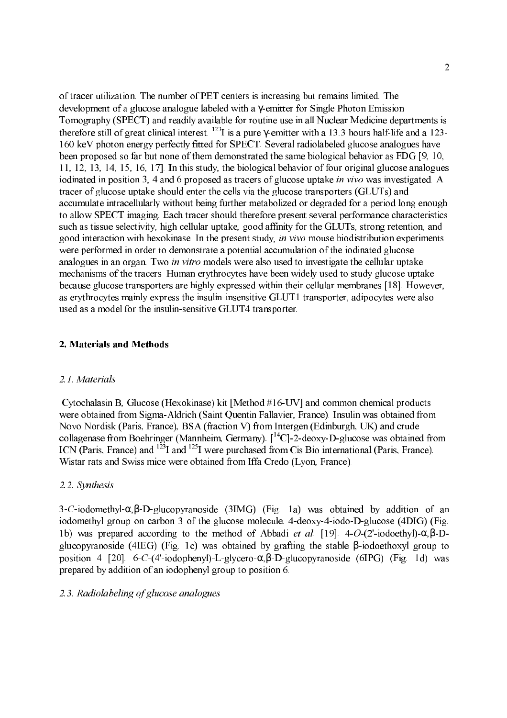of tracer utilization. The number of PET centers is increasing but remains limited. The development of a glucose analogue labeled with a γemitter for Single Photon Emission Tomography (SPECT) and readily available for routine use in all Nuclear Medicine departments is therefore still of great clinical interest.  $^{123}$ I is a pure  $\gamma$ -emitter with a 13.3 hours half-life and a 123-160 keV photon energy perfectly fitted for SPECT. Several radiolabeled glucose analogues have been proposed so far but none of them demonstrated the same biological behavior as FDG [9, 10, 11, 12, 13, 14, 15, 16, 17]. In this study, the biological behavior of four original glucose analogues iodinated in position 3, 4 and 6 proposed as tracers of glucose uptake *in vivo* was investigated. A tracer of glucose uptake should enter the cells via the glucose transporters (GLUTs) and accumulate intracellularly without being further metabolized or degraded for a period long enough to allow SPECT imaging. Each tracer should therefore present several performance characteristics such as tissue selectivity, high cellular uptake, good affinity for the GLUTs, strong retention, and good interaction with hexokinase. In the present study, in vivo mouse biodistribution experiments were performed in order to demonstrate a potential accumulation of the iodinated glucose analogues in an organ. Two in vitro models were also used to investigate the cellular uptake mechanisms of the tracers. Human erythrocytes have been widely used to study glucose uptake because glucose transporters are highly expressed within their cellular membranes [18]. However, as erythrocytes mainly express the insulin-insensitive GLUT1 transporter, adipocytes were also used as a model for the insulin-sensitive GLUT4 transporter.

## 2. Materials and Methods

## 2.1. Materials

Cytochalasin B, Glucose (Hexokinase) kit [Method  $#16$ -UV] and common chemical products were obtained from Sigma-Aldrich (Saint Quentin Fallavier, France). Insulin was obtained from Novo Nordisk (Paris, France), BSA (fraction V) from Intergen (Edinburgh, UK) and crude collagenase from Boehringer (Mannheim, Germany).  $\int_{0}^{14}$ Cl-2-deoxy-D-glucose was obtained from ICN (Paris, France) and  $^{123}$ I and  $^{125}$ I were purchased from Cis Bio international (Paris, France). Wistar rats and Swiss mice were obtained from Iffa Credo (Lyon, France).

#### 2.2. Synthesis

3-C-iodomethyl-α, β-D-glucopyranoside (3IMG) (Fig. 1a) was obtained by addition of an iodomethyl group on carbon 3 of the glucose molecule. 4-deoxy-4-iodo-D-glucose (4DIG) (Fig. 1b) was prepared according to the method of Abbadi *et al.* [19]. 4-*O*-(2'-iodoethyl)-α,β-Dglucopyranoside (4IEG) (Fig. 1c) was obtained by grafting the stable β-iodoethoxyl group to position 4 [20]. 6-C-(4'-iodophenyl)-L-glycero-α,β-D-glucopyranoside (6IPG) (Fig. 1d) was prepared by addition of an iodophenyl group to position 6.

#### 2.3. Radiolabeling of glucose analogues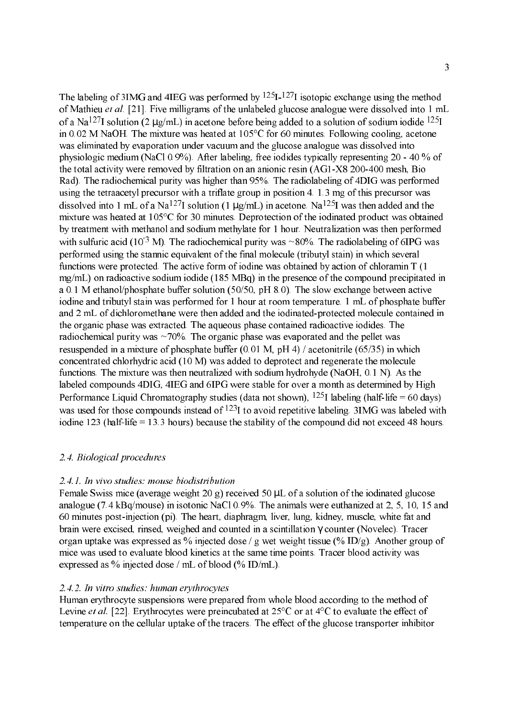The labeling of 3IMG and 4IEG was performed by  $125I-127I$  isotopic exchange using the method of Mathieu *et al.* [21]. Five milligrams of the unlabeled glucose analogue were dissolved into 1 mL of a Na<sup>127</sup>I solution (2  $\mu$ g/mL) in acetone before being added to a solution of sodium iodide <sup>125</sup>I in 0.02 M NaOH. The mixture was heated at 105°C for 60 minutes. Following cooling, acetone was eliminated by evaporation under vacuum and the glucose analogue was dissolved into physiologic medium (NaCl 0.9%). After labeling, free iodides typically representing  $20 - 40$  % of the total activity were removed by filtration on an anionic resin (AG1-X8 200-400 mesh, Bio Rad). The radiochemical purity was higher than 95%. The radiolabeling of 4DIG was performed using the tetraacetyl precursor with a triflate group in position 4. 1.3 mg of this precursor was dissolved into 1 mL of a Na<sup>127</sup>I solution (1  $\mu$ g/mL) in acetone. Na<sup>125</sup>I was then added and the mixture was heated at 105°C for 30 minutes. Deprotection of the iodinated product was obtained by treatment with methanol and sodium methylate for 1 hour. Neutralization was then performed with sulfuric acid (10<sup>3</sup> M). The radiochemical purity was  $\sim 80\%$ . The radiolabeling of 6IPG was performed using the stannic equivalent of the final molecule (tributyl stain) in which several functions were protected. The active form of iodine was obtained by action of chloramin T (1 mg/mL) on radioactive sodium iodide (185 MBq) in the presence of the compound precipitated in a 0.1 M ethanol/phosphate buffer solution (50/50, pH 8.0). The slow exchange between active iodine and tributyl stain was performed for 1 hour at room temperature. 1 mL of phosphate buffer and 2 mL of dichloromethane were then added and the iodinated-protected molecule contained in the organic phase was extracted. The aqueous phase contained radioactive iodides. The radiochemical purity was  $\sim$ 70%. The organic phase was evaporated and the pellet was resuspended in a mixture of phosphate buffer  $(0.01 \text{ M}, \text{pH} 4)$  / acetonitrile  $(65/35)$  in which concentrated chlorhydric acid (10 M) was added to deprotect and regenerate the molecule functions. The mixture was then neutralized with sodium hydrohyde (NaOH, 0.1 N). As the labeled compounds 4DIG, 4IEG and 6IPG were stable for over a month as determined by High Performance Liquid Chromatography studies (data not shown),  $125I$  labeling (half-life = 60 days) was used for those compounds instead of  $^{123}$ I to avoid repetitive labeling. 3IMG was labeled with iodine  $123$  (half-life = 13.3 hours) because the stability of the compound did not exceed 48 hours.

## 2.4. Biological procedures

## 2.4.1. In vivo studies: mouse biodistribution

Female Swiss mice (average weight 20 g) received 50  $\mu$ L of a solution of the iodinated glucose analogue (7.4 kBq/mouse) in isotonic NaCl 0.9%. The animals were euthanized at 2, 5, 10, 15 and 60 minutes postinjection (pi). The heart, diaphragm, liver, lung, kidney, muscle, white fat and brain were excised, rinsed, weighed and counted in a scintillation γ counter (Novelec). Tracer organ uptake was expressed as % injected dose / g wet weight tissue (% ID/g). Another group of mice was used to evaluate blood kinetics at the same time points. Tracer blood activity was expressed as % injected dose / mL of blood (% ID/mL).

## 2.4.2. In vitro studies: human erythrocytes

Human erythrocyte suspensions were prepared from whole blood according to the method of Levine *et al.* [22]. Erythrocytes were preincubated at  $25^{\circ}$ C or at  $4^{\circ}$ C to evaluate the effect of temperature on the cellular uptake of the tracers. The effect of the glucose transporter inhibitor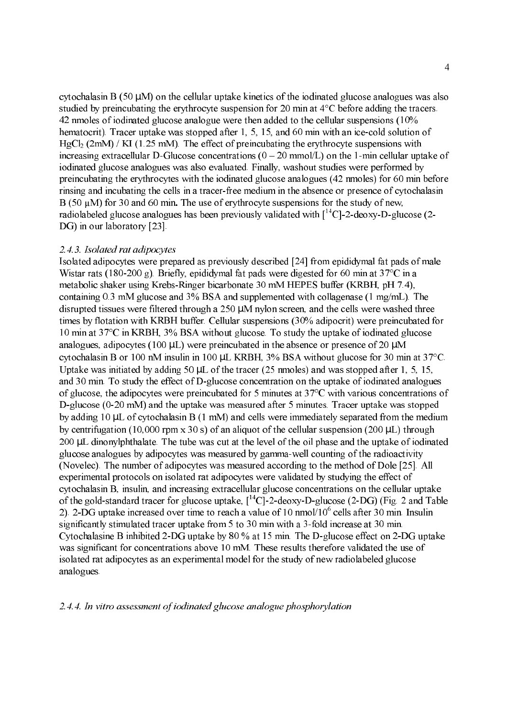cytochalasin B (50  $\mu$ M) on the cellular uptake kinetics of the iodinated glucose analogues was also studied by preincubating the erythrocyte suspension for 20 min at 4°C before adding the tracers. 42 nmoles of iodinated glucose analogue were then added to the cellular suspensions (10% hematocrit). Tracer uptake was stopped after 1, 5, 15, and 60 min with an ice-cold solution of  $HgCl<sub>2</sub>$  (2mM) / KI (1.25 mM). The effect of preincubating the erythrocyte suspensions with increasing extracellular D-Glucose concentrations  $(0 - 20 \text{ mmol/L})$  on the 1-min cellular uptake of iodinated glucose analogues was also evaluated. Finally, washout studies were performed by preincubating the erythrocytes with the iodinated glucose analogues (42 nmoles) for 60 min before rinsing and incubating the cells in a tracer-free medium in the absence or presence of cytochalasin  $B(50 \mu M)$  for 30 and 60 min. The use of erythrocyte suspensions for the study of new, radiolabeled glucose analogues has been previously validated with  $\int_{0}^{14}$ Cl-2-deoxy-D-glucose (2-DG) in our laboratory [23]. 

### 2.4.3. Isolated rat adipocytes

Isolated adipocytes were prepared as previously described [24] from epididymal fat pads of male Wistar rats (180-200 g). Briefly, epididymal fat pads were digested for 60 min at  $37^{\circ}$ C in a metabolic shaker using Krebs-Ringer bicarbonate 30 mM HEPES buffer (KRBH, pH 7.4), containing 0.3 mM glucose and 3% BSA and supplemented with collagenase (1 mg/mL). The disrupted tissues were filtered through a 250 µM nylon screen, and the cells were washed three times by flotation with KRBH buffer. Cellular suspensions (30% adipocrit) were preincubated for 10 min at 37°C in KRBH, 3% BSA without glucose. To study the uptake of iodinated glucose analogues, adipocytes (100  $\mu$ L) were preincubated in the absence or presence of 20  $\mu$ M cytochalasin B or 100 nM insulin in 100 µL KRBH, 3% BSA without glucose for 30 min at 37°C. Uptake was initiated by adding 50 µL of the tracer (25 nmoles) and was stopped after 1, 5, 15, and 30 min. To study the effect of D-glucose concentration on the uptake of iodinated analogues of glucose, the adipocytes were preincubated for 5 minutes at 37°C with various concentrations of D-glucose (0-20 mM) and the uptake was measured after 5 minutes. Tracer uptake was stopped by adding 10 µL of cytochalasin B (1 mM) and cells were immediately separated from the medium by centrifugation (10,000 rpm x 30 s) of an aliquot of the cellular suspension (200  $\mu$ L) through 200 µL dinonylphthalate. The tube was cut at the level of the oil phase and the uptake of iodinated glucose analogues by adipocytes was measured by gammawell counting of the radioactivity (Novelec). The number of adipocytes was measured according to the method of Dole [25]. All experimental protocols on isolated rat adipocytes were validated by studying the effect of cytochalasin B, insulin, and increasing extracellular glucose concentrations on the cellular uptake of the gold-standard tracer for glucose uptake,  $\lceil {^{14}C} \rceil$ -2-deoxy-D-glucose (2-DG) (Fig. 2 and Table 2). 2-DG uptake increased over time to reach a value of 10 nmol/ $10^6$  cells after 30 min. Insulin significantly stimulated tracer uptake from 5 to 30 min with a 3-fold increase at 30 min. Cytochalasine B inhibited 2-DG uptake by  $80\%$  at 15 min. The D-glucose effect on 2-DG uptake was significant for concentrations above 10 mM. These results therefore validated the use of isolated rat adipocytes as an experimental model for the study of new radiolabeled glucose analogues. 

## 2.4.4. In vitro assessment of iodinated glucose analogue phosphorylation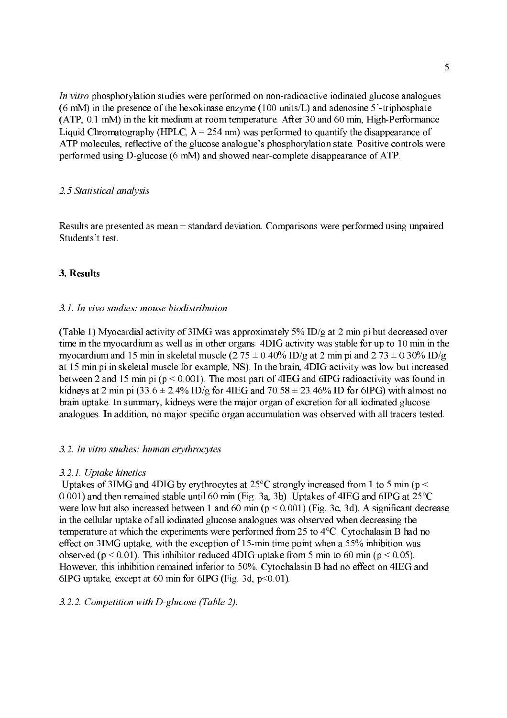In vitro phosphorylation studies were performed on non-radioactive iodinated glucose analogues  $(6 \text{ mM})$  in the presence of the hexokinase enzyme  $(100 \text{ units/L})$  and adenosine 5'-triphosphate  $(ATP, 0.1$  mM) in the kit medium at room temperature. After 30 and 60 min, High-Performance Liquid Chromatography (HPLC,  $\lambda$  = 254 nm) was performed to quantify the disappearance of ATP molecules, reflective of the glucose analogue's phosphorylation state. Positive controls were performed using D-glucose (6 mM) and showed near-complete disappearance of ATP.

## 2.5 Statistical analysis

Results are presented as mean  $\pm$  standard deviation. Comparisons were performed using unpaired Students't test.

## 3. Results

## 3.1. In vivo studies: mouse biodistribution

(Table 1) Myocardial activity of 3IMG was approximately 5% ID/g at 2 min pi but decreased over time in the myocardium as well as in other organs. 4DIG activity was stable for up to 10 min in the myocardium and 15 min in skeletal muscle (2.75  $\pm$  0.40% ID/g at 2 min pi and 2.73  $\pm$  0.30% ID/g at 15 min pi in skeletal muscle for example, NS). In the brain, 4DIG activity was low but increased between 2 and 15 min pi (p < 0.001). The most part of 4IEG and 6IPG radioactivity was found in kidneys at 2 min pi (33.6  $\pm$  2.4% ID/g for 4IEG and 70.58  $\pm$  23.46% ID for 6IPG) with almost no brain uptake. In summary, kidneys were the major organ of excretion for all iodinated glucose analogues. In addition, no major specific organ accumulation was observed with all tracers tested. 

## 3.2. In vitro studies: human erythrocytes

## 3.2.1. Uptake kinetics

Uptakes of 3IMG and 4DIG by erythrocytes at  $25^{\circ}$ C strongly increased from 1 to 5 min (p < 0.001) and then remained stable until 60 min (Fig. 3a, 3b). Uptakes of 4IEG and 6IPG at 25°C were low but also increased between 1 and 60 min (p < 0.001) (Fig. 3c, 3d). A significant decrease in the cellular uptake of all iodinated glucose analogues was observed when decreasing the temperature at which the experiments were performed from 25 to 4°C. Cytochalasin B had no effect on 3IMG uptake, with the exception of 15-min time point when a 55% inhibition was observed ( $p < 0.01$ ). This inhibitor reduced 4DIG uptake from 5 min to 60 min ( $p < 0.05$ ). However, this inhibition remained inferior to 50%. Cytochalasin B had no effect on 4IEG and 6IPG uptake, except at 60 min for 6IPG (Fig. 3d,  $p<0.01$ ).

## $3.2.2.$  Competition with D-glucose (Table 2).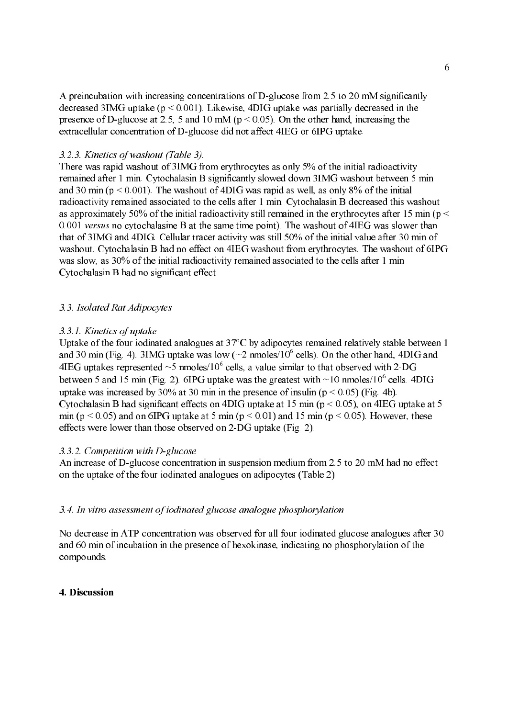A preincubation with increasing concentrations of  $D$ -glucose from 2.5 to 20 mM significantly decreased 3IMG uptake ( $p \le 0.001$ ). Likewise, 4DIG uptake was partially decreased in the presence of D-glucose at 2.5, 5 and 10 mM ( $p < 0.05$ ). On the other hand, increasing the extracellular concentration of D-glucose did not affect 4IEG or 6IPG uptake.

## 3.2.3. Kinetics of washout (Table 3).

There was rapid washout of 3IMG from erythrocytes as only 5% of the initial radioactivity remained after 1 min. Cytochalasin B significantly slowed down 3IMG washout between 5 min and 30 min ( $p < 0.001$ ). The washout of 4DIG was rapid as well, as only 8% of the initial radioactivity remained associated to the cells after 1 min. Cytochalasin B decreased this washout as approximately 50% of the initial radioactivity still remained in the erythrocytes after 15 min ( $p \le$ 0.001 versus no cytochalasine B at the same time point). The washout of 4IEG was slower than that of 3IMG and 4DIG. Cellular tracer activity was still 50% of the initial value after 30 min of washout. Cytochalasin B had no effect on 4IEG washout from erythrocytes. The washout of 6IPG was slow, as 30% of the initial radioactivity remained associated to the cells after 1 min. Cytochalasin B had no significant effect. 

#### 3.3. Isolated Rat Adipocytes

## 3.3.1. Kinetics of uptake

Uptake of the four iodinated analogues at 37°C by adipocytes remained relatively stable between 1 and 30 min (Fig. 4). 3IMG uptake was low ( $\sim$ 2 nmoles/10<sup>6</sup> cells). On the other hand, 4DIG and 4IEG uptakes represented  $\sim$  5 nmoles/10<sup>6</sup> cells, a value similar to that observed with 2-DG between 5 and 15 min (Fig. 2). 6IPG uptake was the greatest with  $\sim$ 10 nmoles/10<sup>6</sup> cells. 4DIG uptake was increased by 30% at 30 min in the presence of insulin ( $p < 0.05$ ) (Fig. 4b). Cytochalasin B had significant effects on 4DIG uptake at 15 min ( $p \le 0.05$ ), on 4IEG uptake at 5 min ( $p \le 0.05$ ) and on 6IPG uptake at 5 min ( $p \le 0.01$ ) and 15 min ( $p \le 0.05$ ). However, these effects were lower than those observed on 2-DG uptake (Fig. 2).

## 3.3.2. Competition with D-glucose

An increase of D-glucose concentration in suspension medium from 2.5 to 20 mM had no effect on the uptake of the four iodinated analogues on adipocytes (Table 2).

#### 3.4. In vitro assessment of iodinated glucose analogue phosphorylation

No decrease in ATP concentration was observed for all four iodinated glucose analogues after 30 and 60 min of incubation in the presence of hexokinase, indicating no phosphorylation of the compounds. 

#### 4. Discussion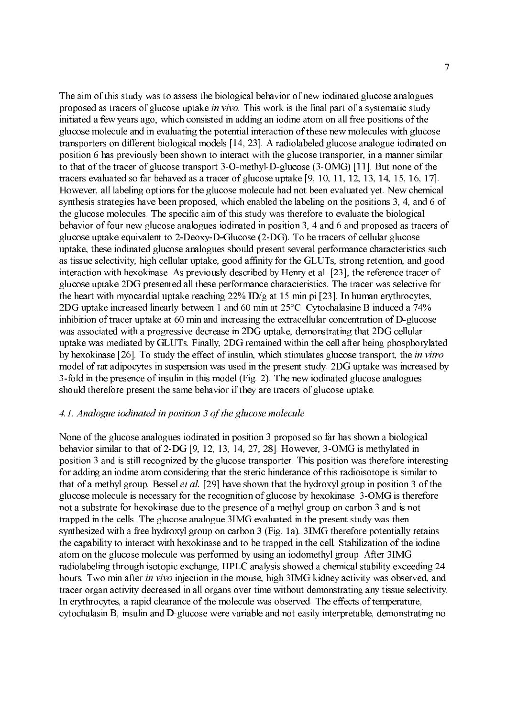The aim of this study was to assess the biological behavior of new iodinated glucose analogues proposed as tracers of glucose uptake in vivo. This work is the final part of a systematic study initiated a few years ago, which consisted in adding an iodine atom on all free positions of the glucose molecule and in evaluating the potential interaction of these new molecules with glucose transporters on different biological models [14, 23]. A radiolabeled glucose analogue iodinated on position 6 has previously been shown to interact with the glucose transporter, in a manner similar to that of the tracer of glucose transport  $3$ -O-methyl-D-glucose  $(3$ -OMG) [11]. But none of the tracers evaluated so far behaved as a tracer of glucose uptake [9, 10, 11, 12, 13, 14, 15, 16, 17]. However, all labeling options for the glucose molecule had not been evaluated yet. New chemical synthesis strategies have been proposed, which enabled the labeling on the positions 3, 4, and 6 of the glucose molecules. The specific aim of this study was therefore to evaluate the biological behavior of four new glucose analogues iodinated in position 3, 4 and 6 and proposed as tracers of glucose uptake equivalent to 2-Deoxy-D-Glucose  $(2-DG)$ . To be tracers of cellular glucose uptake, these iodinated glucose analogues should present several performance characteristics such as tissue selectivity, high cellular uptake, good affinity for the GLUTs, strong retention, and good interaction with hexokinase. As previously described by Henry et al. [23], the reference tracer of glucose uptake 2DG presented all these performance characteristics. The tracer was selective for the heart with myocardial uptake reaching 22% ID/g at 15 min pi [23]. In human erythrocytes, 2DG uptake increased linearly between 1 and 60 min at 25°C. Cytochalasine B induced a 74% inhibition of tracer uptake at 60 min and increasing the extracellular concentration of  $D$ -glucose was associated with a progressive decrease in 2DG uptake, demonstrating that 2DG cellular uptake was mediated by GLUTs. Finally, 2DG remained within the cell after being phosphorylated by hexokinase [26]. To study the effect of insulin, which stimulates glucose transport, the *in vitro* model of rat adipocytes in suspension was used in the present study. 2DG uptake was increased by 3-fold in the presence of insulin in this model (Fig. 2). The new iodinated glucose analogues should therefore present the same behavior if they are tracers of glucose uptake.

## 4.1. Analogue iodinated in position 3 of the glucose molecule

None of the glucose analogues iodinated in position 3 proposed so far has shown a biological behavior similar to that of  $2$ -DG [9, 12, 13, 14, 27, 28]. However,  $3$ -OMG is methylated in position 3 and is still recognized by the glucose transporter. This position was therefore interesting for adding an iodine atom considering that the steric hinderance of this radioisotope is similar to that of a methyl group. Bessel *et al.* [29] have shown that the hydroxyl group in position 3 of the glucose molecule is necessary for the recognition of glucose by hexokinase. 3OMG is therefore not a substrate for hexokinase due to the presence of a methyl group on carbon 3 and is not trapped in the cells. The glucose analogue 3IMG evaluated in the present study was then synthesized with a free hydroxyl group on carbon 3 (Fig. 1a). 3IMG therefore potentially retains the capability to interact with hexokinase and to be trapped in the cell. Stabilization of the iodine atom on the glucose molecule was performed by using an iodomethyl group. After 3IMG radiolabeling through isotopic exchange, HPLC analysis showed a chemical stability exceeding 24 hours. Two min after in vivo injection in the mouse, high 3IMG kidney activity was observed, and tracer organ activity decreased in all organs over time without demonstrating any tissue selectivity. In erythrocytes, a rapid clearance of the molecule was observed. The effects of temperature, cytochalasin B, insulin and D-glucose were variable and not easily interpretable, demonstrating no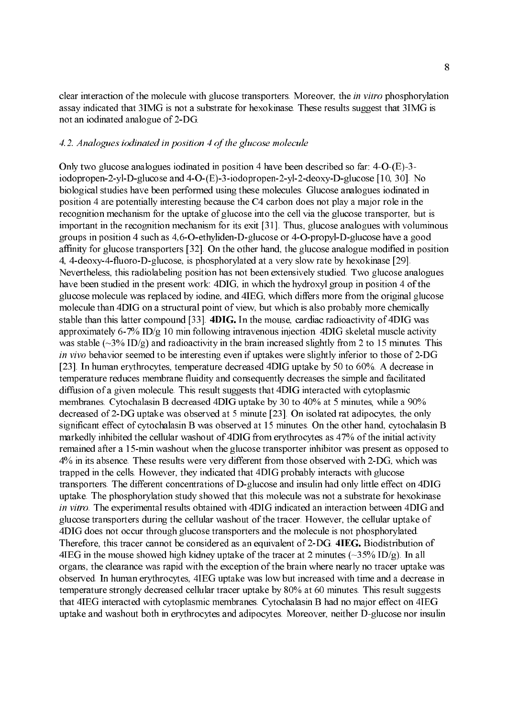clear interaction of the molecule with glucose transporters. Moreover, the *in vitro* phosphorylation assay indicated that 3IMG is not a substrate for hexokinase. These results suggest that 3IMG is not an iodinated analogue of 2-DG.

#### 4.2. Analogues iodinated in position 4 of the glucose molecule

Only two glucose analogues iodinated in position 4 have been described so far:  $4-O$ - $(E)$ -3iodopropen-2-yl-D-glucose and 4-O-(E)-3-iodopropen-2-yl-2-deoxy-D-glucose [10, 30]. No biological studies have been performed using these molecules. Glucose analogues iodinated in position 4 are potentially interesting because the C4 carbon does not play a major role in the recognition mechanism for the uptake of glucose into the cell via the glucose transporter, but is important in the recognition mechanism for its exit [31]. Thus, glucose analogues with voluminous groups in position 4 such as  $4,6$ -O-ethyliden-D-glucose or  $4$ -O-propyl-D-glucose have a good affinity for glucose transporters [32]. On the other hand, the glucose analogue modified in position 4, 4-deoxy-4-fluoro-D-glucose, is phosphorylated at a very slow rate by hexokinase [29]. Nevertheless, this radiolabeling position has not been extensively studied. Two glucose analogues have been studied in the present work: 4DIG, in which the hydroxyl group in position 4 of the glucose molecule was replaced by iodine, and 4IEG, which differs more from the original glucose molecule than 4DIG on a structural point of view, but which is also probably more chemically stable than this latter compound [33]. 4DIG. In the mouse, cardiac radioactivity of 4DIG was approximately 6-7% ID/g 10 min following intravenous injection. 4DIG skeletal muscle activity was stable ( $\sim$ 3% ID/g) and radioactivity in the brain increased slightly from 2 to 15 minutes. This in vivo behavior seemed to be interesting even if uptakes were slightly inferior to those of 2-DG [23]. In human erythrocytes, temperature decreased 4DIG uptake by 50 to 60%. A decrease in temperature reduces membrane fluidity and consequently decreases the simple and facilitated diffusion of a given molecule. This result suggests that 4DIG interacted with cytoplasmic membranes. Cytochalasin B decreased 4DIG uptake by 30 to 40% at 5 minutes, while a 90% decreased of 2DG uptake was observed at 5 minute [23]. On isolated rat adipocytes, the only significant effect of cytochalasin B was observed at 15 minutes. On the other hand, cytochalasin B markedly inhibited the cellular washout of 4DIG from erythrocytes as 47% of the initial activity remained after a 15-min washout when the glucose transporter inhibitor was present as opposed to 4% in its absence. These results were very different from those observed with 2DG, which was trapped in the cells. However, they indicated that 4DIG probably interacts with glucose transporters. The different concentrations of D-glucose and insulin had only little effect on 4DIG uptake. The phosphorylation study showed that this molecule was not a substrate for hexokinase in vitro. The experimental results obtained with 4DIG indicated an interaction between 4DIG and glucose transporters during the cellular washout of the tracer. However, the cellular uptake of 4DIG does not occur through glucose transporters and the molecule is not phosphorylated. Therefore, this tracer cannot be considered as an equivalent of 2-DG. 4IEG. Biodistribution of 4IEG in the mouse showed high kidney uptake of the tracer at 2 minutes ( $\sim$ 35% ID/g). In all organs, the clearance was rapid with the exception of the brain where nearly no tracer uptake was observed. In human erythrocytes, 4IEG uptake was low but increased with time and a decrease in temperature strongly decreased cellular tracer uptake by 80% at 60 minutes. This result suggests that 4IEG interacted with cytoplasmic membranes. Cytochalasin B had no major effect on 4IEG uptake and washout both in erythrocytes and adipocytes. Moreover, neither D-glucose nor insulin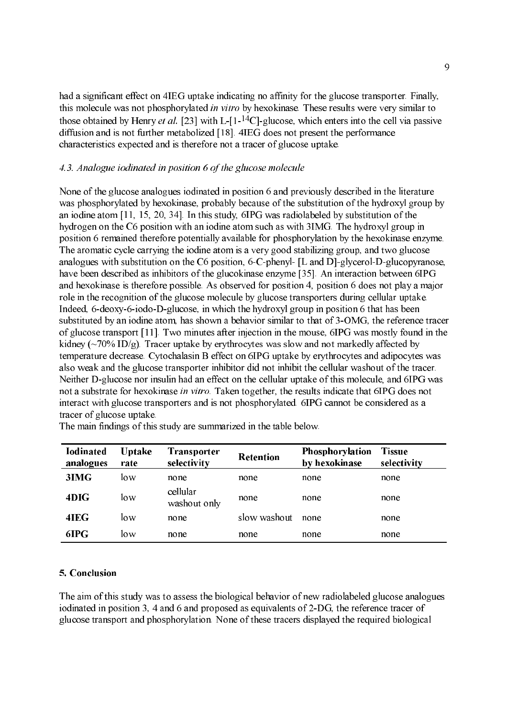had a significant effect on 4IEG uptake indicating no affinity for the glucose transporter. Finally, this molecule was not phosphorylated in vitro by hexokinase. These results were very similar to those obtained by Henry et al. [23] with L-[1-<sup>14</sup>C]-glucose, which enters into the cell via passive diffusion and is not further metabolized [18]. 4IEG does not present the performance characteristics expected and is therefore not a tracer of glucose uptake. 

## 4.3. Analogue iodinated in position 6 of the glucose molecule

None of the glucose analogues iodinated in position 6 and previously described in the literature was phosphorylated by hexokinase, probably because of the substitution of the hydroxyl group by an iodine atom [11, 15, 20, 34]. In this study, 6IPG was radiolabeled by substitution of the hydrogen on the C6 position with an iodine atom such as with 3IMG. The hydroxyl group in position 6 remained therefore potentially available for phosphorylation by the hexokinase enzyme. The aromatic cycle carrying the iodine atom is a very good stabilizing group, and two glucose analogues with substitution on the C6 position, 6-C-phenyl-  $[L$  and  $D]$ -glycerol-D-glucopyranose, have been described as inhibitors of the glucokinase enzyme [35]. An interaction between 6IPG and hexokinase is therefore possible. As observed for position 4, position 6 does not play a major role in the recognition of the glucose molecule by glucose transporters during cellular uptake. Indeed, 6-deoxy-6-iodo-D-glucose, in which the hydroxyl group in position 6 that has been substituted by an iodine atom, has shown a behavior similar to that of 3-OMG, the reference tracer of glucose transport [11]. Two minutes after injection in the mouse, 6IPG was mostly found in the kidney (~70% ID/g). Tracer uptake by erythrocytes was slow and not markedly affected by temperature decrease. Cytochalasin B effect on 6IPG uptake by erythrocytes and adipocytes was also weak and the glucose transporter inhibitor did not inhibit the cellular washout of the tracer. Neither D-glucose nor insulin had an effect on the cellular uptake of this molecule, and 6IPG was not a substrate for hexokinase in vitro. Taken together, the results indicate that 6IPG does not interact with glucose transporters and is not phosphorylated. 6IPG cannot be considered as a tracer of glucose uptake. 

| <b>Iodinated</b><br>analogues | <b>Uptake</b><br>rate | <b>Transporter</b><br>selectivity | <b>Retention</b> | Phosphorylation<br>by hexokinase | <b>Tissue</b><br>selectivity |
|-------------------------------|-----------------------|-----------------------------------|------------------|----------------------------------|------------------------------|
| 3IMG                          | low                   | none                              | none             | none                             | none                         |
| 4DIG                          | low                   | cellular<br>washout only          | none             | none                             | none                         |
| 4IEG                          | low                   | none                              | slow washout     | none                             | none                         |
| 6IPG                          | low                   | none                              | none             | none                             | none                         |

The main findings of this study are summarized in the table below.

#### 5. Conclusion

The aim of this study was to assess the biological behavior of new radiolabeled glucose analogues iodinated in position 3, 4 and 6 and proposed as equivalents of 2DG, the reference tracer of glucose transport and phosphorylation. None of these tracers displayed the required biological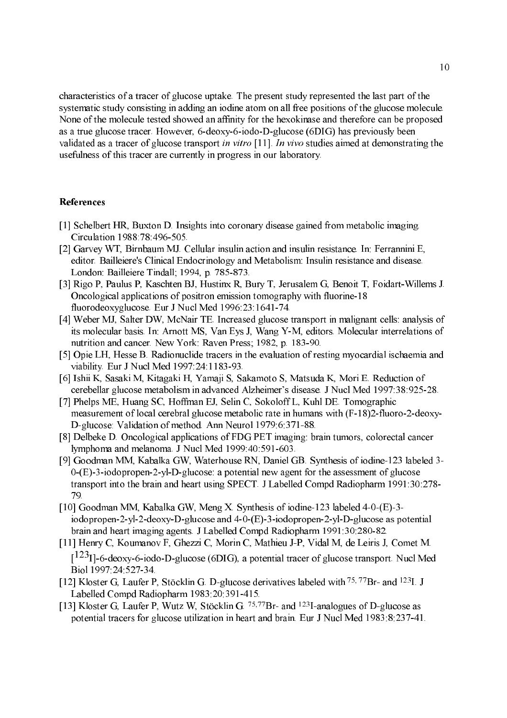characteristics of a tracer of glucose uptake. The present study represented the last part of the systematic study consisting in adding an iodine atom on all free positions of the glucose molecule. None of the molecule tested showed an affinity for the hexokinase and therefore can be proposed as a true glucose tracer. However,  $6$ -deoxy- $6$ -jodo-D-glucose ( $6DIG$ ) has previously been validated as a tracer of glucose transport in vitro [11]. In vivo studies aimed at demonstrating the usefulness of this tracer are currently in progress in our laboratory.

### References

- [1] Schelbert HR, Buxton D. Insights into coronary disease gained from metabolic imaging. Circulation 1988:78:496-505.
- [2] Garvey WT, Birnbaum MJ. Cellular insulin action and insulin resistance. In: Ferrannini E, editor. Bailleiere's Clinical Endocrinology and Metabolism: Insulin resistance and disease. London: Bailleiere Tindall; 1994, p. 785-873.
- [3] Rigo P, Paulus P, Kaschten BJ, Hustinx R, Bury T, Jerusalem G, Benoit T, Foidart-Willems J. Oncological applications of positron emission tomography with fluorine18 fluorodeoxyglucose. Eur J Nucl Med 1996:23:1641-74.
- [4] Weber MJ, Salter DW, McNair TE. Increased glucose transport in malignant cells: analysis of its molecular basis. In: Arnott MS, Van Eys J, Wang Y-M, editors. Molecular interrelations of nutrition and cancer. New York: Raven Press; 1982, p. 183-90.
- [5] Opie LH, Hesse B. Radionuclide tracers in the evaluation of resting myocardial ischaemia and viability. Eur J Nucl Med 1997:24:1183-93.
- [6] Ishii K, Sasaki M, Kitagaki H, Yamaji S, Sakamoto S, Matsuda K, Mori E. Reduction of cerebellar glucose metabolism in advanced Alzheimer's disease. J Nucl Med 1997:38:92528.
- [7] Phelps ME, Huang SC, Hoffman EJ, Selin C, Sokoloff L, Kuhl DE. Tomographic measurement of local cerebral glucose metabolic rate in humans with  $(F-18)2$ -fluoro-2-deoxy-D-glucose: Validation of method. Ann Neurol 1979:6:371-88.
- [8] Delbeke D. Oncological applications of FDG PET imaging: brain tumors, colorectal cancer lymphoma and melanoma. J Nucl Med 1999:40:591-603.
- [9] Goodman MM, Kabalka GW, Waterhouse RN, Daniel GB. Synthesis of iodine123 labeled 3  $0-(E)$ -3-iodopropen-2-yl-D-glucose: a potential new agent for the assessment of glucose transport into the brain and heart using SPECT. J Labelled Compd Radiopharm 1991:30:278 79.
- [10] Goodman MM, Kabalka GW, Meng X. Synthesis of iodine-123 labeled  $4-0-(E)-3$ iodopropen-2-yl-2-deoxy-D-glucose and  $4-0$ - $(E)$ -3-iodopropen-2-yl-D-glucose as potential brain and heart imaging agents. J Labelled Compd Radiopharm 1991:30:280-82.
- [11] Henry C, Koumanov F, Ghezzi C, Morin C, Mathieu J-P, Vidal M, de Leiris J, Comet M.  $[1^{123}$ I]-6-deoxy-6-iodo-D-glucose (6DIG), a potential tracer of glucose transport. Nucl Med Biol 1997:24:527-34.
- [12] Kloster G, Laufer P, Stöcklin G. D-glucose derivatives labeled with <sup>75, 77</sup>Br- and <sup>123</sup>I. J Labelled Compd Radiopharm 1983:20:391-415.
- [13] Kloster G, Laufer P, Wutz W, Stöcklin G.  $^{75,77}Br$  and  $^{123}I$ -analogues of D-glucose as potential tracers for glucose utilization in heart and brain. Eur J Nucl Med 1983:8:237-41.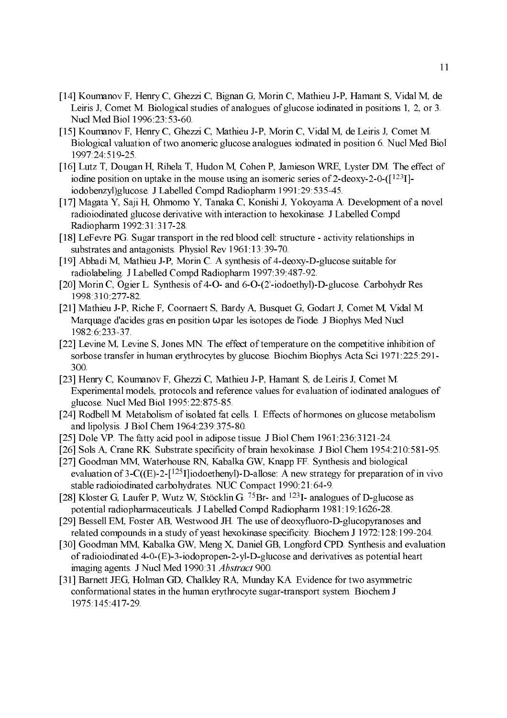- [14] Koumanov F, Henry C, Ghezzi C, Bignan G, Morin C, Mathieu J-P, Hamant S, Vidal M, de Leiris J, Comet M. Biological studies of analogues of glucose iodinated in positions 1, 2, or 3. Nucl Med Biol 1996:23:53-60.
- [15] Koumanov F, Henry C, Ghezzi C, Mathieu JP, Morin C, Vidal M, de Leiris J, Comet M. Biological valuation of two anomeric glucose analogues iodinated in position 6. Nucl Med Biol 1997:24:51925.
- [16] Lutz T, Dougan H, Rihela T, Hudon M, Cohen P, Jamieson WRE, Lyster DM. The effect of iodine position on uptake in the mouse using an isomeric series of 2-deoxy-2-0- $(1^{123}I)$ iodobenzyl)glucose. J Labelled Compd Radiopharm 1991:29:53545.
- [17] Magata Y, Saji H, Ohmomo Y, Tanaka C, Konishi J, Yokoyama A. Development of a novel radioiodinated glucose derivative with interaction to hexokinase. J Labelled Compd Radiopharm 1992:31:31728.
- [18] LeFevre PG. Sugar transport in the red blood cell: structure activity relationships in substrates and antagonists. Physiol Rev 1961:13:39-70.
- [19] Abbadi M, Mathieu J-P, Morin C. A synthesis of 4-deoxy-D-glucose suitable for radiolabeling. J Labelled Compd Radiopharm 1997:39:487-92.
- [20] Morin C, Ogier L. Synthesis of 4-O- and 6-O-(2'-iodoethyl)-D-glucose. Carbohydr Res 1998:310:277-82
- [21] Mathieu J-P, Riche F, Coornaert S, Bardy A, Busquet G, Godart J, Comet M, Vidal M. Marquage d'acides gras en position ω par les isotopes de l'iode. J Biophys Med Nucl 1982:6:23337.
- [22] Levine M, Levine S, Jones MN. The effect of temperature on the competitive inhibition of sorbose transfer in human erythrocytes by glucose. Biochim Biophys Acta Sci 1971:225:291 300.
- [23] Henry C, Koumanov F, Ghezzi C, Mathieu J-P, Hamant S, de Leiris J, Comet M. Experimental models, protocols and reference values for evaluation of iodinated analogues of glucose. Nucl Med Biol 1995:22:875-85.
- [24] Rodbell M. Metabolism of isolated fat cells. I. Effects of hormones on glucose metabolism and lipolysis. J Biol Chem  $1964:239:375-80$ .
- [25] Dole VP. The fatty acid pool in adipose tissue. J Biol Chem 1961:236:3121-24.
- [26] Sols A, Crane RK. Substrate specificity of brain hexokinase. J Biol Chem 1954:210:581-95.
- [27] Goodman MM, Waterhouse RN, Kabalka GW, Knapp FF. Synthesis and biological evaluation of  $3-C(\sqrt{E})-2-[1^{25}]$ liodoethenyl)-D-allose: A new strategy for preparation of in vivo stable radioiodinated carbohydrates. NUC Compact 1990:21:649.
- [28] Kloster G, Laufer P, Wutz W, Stöcklin G.  $^{75}Br$  and  $^{123}I$  analogues of D-glucose as potential radiopharmaceuticals. J Labelled Compd Radiopharm 1981:19:162628.
- [29] Bessell EM, Foster AB, Westwood JH. The use of deoxyfluoro-D-glucopyranoses and related compounds in a study of yeast hexokinase specificity. Biochem J 1972:128:199-204.
- [30] Goodman MM, Kabalka GW, Meng X, Daniel GB, Longford CPD. Synthesis and evaluation of radioiodinated  $4-0-(E)$ -3-iodopropen-2-yl-D-glucose and derivatives as potential heart imaging agents. J Nucl Med 1990:31 Abstract 900.
- [31] Barnett JEG, Holman GD, Chalkley RA, Munday KA. Evidence for two asymmetric conformational states in the human erythrocyte sugar-transport system. Biochem J 1975:145:41729.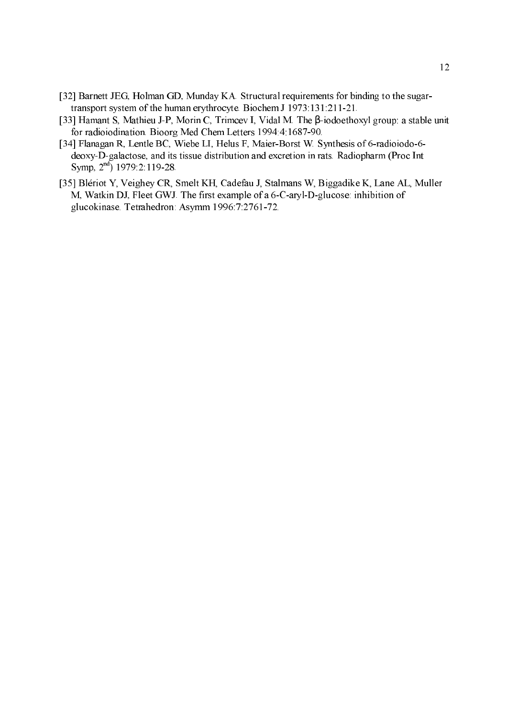- [32] Barnett JEG, Holman GD, Munday KA. Structural requirements for binding to the sugar transport system of the human erythrocyte. Biochem J 1973:131:211-21.
- [33] Hamant S, Mathieu J-P, Morin C, Trimcev I, Vidal M. The β-iodoethoxyl group: a stable unit for radioiodination. Bioorg Med Chem Letters 1994:4:1687-90.
- [34] Flanagan R, Lentle BC, Wiebe LI, Helus F, Maier-Borst W. Synthesis of 6-radioiodo-6deoxy-D-galactose, and its tissue distribution and excretion in rats. Radiopharm (Proc Int Symp,  $2^{nd}$ ) 1979:2:119-28.
- [35] Blériot Y, Veighey CR, Smelt KH, Cadefau J, Stalmans W, Biggadike K, Lane AL, Muller M, Watkin DJ, Fleet GWJ. The first example of a 6-C-aryl-D-glucose: inhibition of glucokinase. Tetrahedron: Asymm 1996:7:2761-72.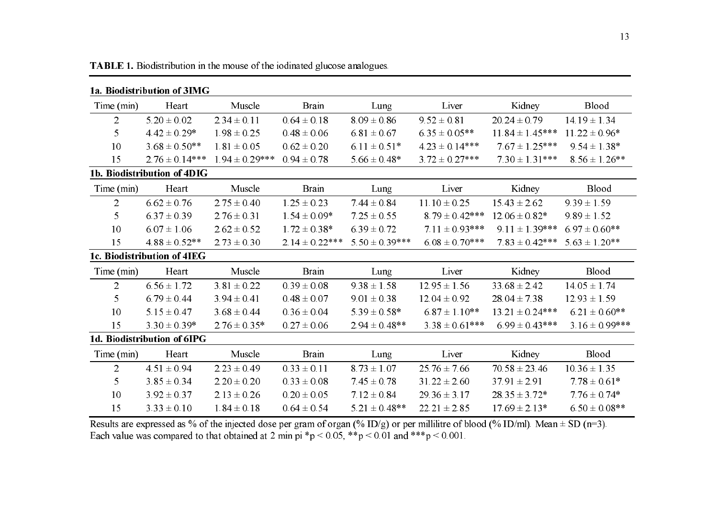| 1a. Biodistribution of 3IMG |                             |                    |                    |                                  |                                       |                                                                                                                                                                                                                                                                                                                     |                     |  |
|-----------------------------|-----------------------------|--------------------|--------------------|----------------------------------|---------------------------------------|---------------------------------------------------------------------------------------------------------------------------------------------------------------------------------------------------------------------------------------------------------------------------------------------------------------------|---------------------|--|
| Time (min)                  | Heart                       | Muscle             | <b>Brain</b>       | Lung                             | Liver                                 | Kidney                                                                                                                                                                                                                                                                                                              | Blood               |  |
| $\overline{2}$              | $5.20 \pm 0.02$             | $2.34 \pm 0.11$    | $0.64 \pm 0.18$    | $8.09 \pm 0.86$                  | $9.52 \pm 0.81$                       | $20.24 \pm 0.79$                                                                                                                                                                                                                                                                                                    | $14.19 \pm 1.34$    |  |
| 5                           | $4.42 \pm 0.29*$            | $1.98 \pm 0.25$    | $0.48 \pm 0.06$    | $6.81 \pm 0.67$                  | $6.35 \pm 0.05**$                     | $11.84 \pm 1.45***$                                                                                                                                                                                                                                                                                                 | $11.22 \pm 0.96*$   |  |
| 10                          | $3.68 \pm 0.50**$           | $1.81 \pm 0.05$    | $0.62 \pm 0.20$    | $6.11 \pm 0.51*$                 | $4.23 \pm 0.14***$                    | $7.67 \pm 1.25***$                                                                                                                                                                                                                                                                                                  | $9.54 \pm 1.38*$    |  |
| 15                          | $2.76 \pm 0.14***$          | $1.94 \pm 0.29***$ | $0.94 \pm 0.78$    | $5.66 \pm 0.48*$                 | $3.72 \pm 0.27***$                    | $7.30 \pm 1.31***$                                                                                                                                                                                                                                                                                                  | $8.56 \pm 1.26$ **  |  |
|                             | 1b. Biodistribution of 4DIG |                    |                    |                                  |                                       |                                                                                                                                                                                                                                                                                                                     |                     |  |
| Time (min)                  | Heart                       | Muscle             | <b>Brain</b>       | Lung                             | Liver                                 | Kidney                                                                                                                                                                                                                                                                                                              | Blood               |  |
| $\overline{2}$              | $6.62 \pm 0.76$             | $2.75 \pm 0.40$    | $1.25 \pm 0.23$    | $7.44 \pm 0.84$                  | $11.10 \pm 0.25$                      | $15.43 \pm 2.62$                                                                                                                                                                                                                                                                                                    | $9.39 \pm 1.59$     |  |
| 5                           | $6.37 \pm 0.39$             | $2.76 \pm 0.31$    | $1.54 \pm 0.09*$   | $7.25 \pm 0.55$                  | $8.79 \pm 0.42***$                    | $12.06 \pm 0.82*$                                                                                                                                                                                                                                                                                                   | $9.89 \pm 1.52$     |  |
| 10                          | $6.07 \pm 1.06$             | $2.62 \pm 0.52$    | $1.72 \pm 0.38*$   | $6.39 \pm 0.72$                  | $7.11 \pm 0.93***$                    | $9.11 \pm 1.39***$                                                                                                                                                                                                                                                                                                  | $6.97 \pm 0.60$ **  |  |
| 15                          | $4.88 \pm 0.52**$           | $2.73 \pm 0.30$    | $2.14 \pm 0.22***$ | $5.50 \pm 0.39***$               | $6.08 \pm 0.70***$                    | $7.83 \pm 0.42***$                                                                                                                                                                                                                                                                                                  | $5.63 \pm 1.20**$   |  |
|                             | 1c. Biodistribution of 4IEG |                    |                    |                                  |                                       |                                                                                                                                                                                                                                                                                                                     |                     |  |
| Time (min)                  | Heart                       | Muscle             | <b>Brain</b>       | Lung                             | Liver                                 | Kidney                                                                                                                                                                                                                                                                                                              | Blood               |  |
| $\overline{2}$              | $6.56 \pm 1.72$             | $3.81 \pm 0.22$    | $0.39 \pm 0.08$    | $9.38 \pm 1.58$                  | $12.95 \pm 1.56$                      | $33.68 \pm 2.42$                                                                                                                                                                                                                                                                                                    | $14.05 \pm 1.74$    |  |
| 5                           | $6.79 \pm 0.44$             | $3.94 \pm 0.41$    | $0.48 \pm 0.07$    | $9.01 \pm 0.38$                  | $12.04 \pm 0.92$                      | $28.04 \pm 7.38$                                                                                                                                                                                                                                                                                                    | $12.93 \pm 1.59$    |  |
| 10                          | $5.15 \pm 0.47$             | $3.68 \pm 0.44$    | $0.36 \pm 0.04$    | $5.39 \pm 0.58*$                 | $6.87 \pm 1.10**$                     | $13.21 \pm 0.24***$                                                                                                                                                                                                                                                                                                 | $6.21 \pm 0.60**$   |  |
| 15                          | $3.30 \pm 0.39*$            | $2.76 \pm 0.35*$   | $0.27 \pm 0.06$    | $2.94 \pm 0.48**$                | $3.38 \pm 0.61***$                    | $6.99 \pm 0.43***$                                                                                                                                                                                                                                                                                                  | $3.16 \pm 0.99$ *** |  |
| 1d. Biodistribution of 6IPG |                             |                    |                    |                                  |                                       |                                                                                                                                                                                                                                                                                                                     |                     |  |
| Time (min)                  | Heart                       | Muscle             | <b>Brain</b>       | Lung                             | Liver                                 | Kidney                                                                                                                                                                                                                                                                                                              | Blood               |  |
| $\overline{2}$              | $4.51 \pm 0.94$             | $2.23 \pm 0.49$    | $0.33 \pm 0.11$    | $8.73 \pm 1.07$                  | $25.76 \pm 7.66$                      | $70.58 \pm 23.46$                                                                                                                                                                                                                                                                                                   | $10.36 \pm 1.35$    |  |
| 5                           | $3.85 \pm 0.34$             | $2.20 \pm 0.20$    | $0.33 \pm 0.08$    | $7.45 \pm 0.78$                  | $31.22 \pm 2.60$                      | $37.91 \pm 2.91$                                                                                                                                                                                                                                                                                                    | $7.78 \pm 0.61*$    |  |
| 10                          | $3.92 \pm 0.37$             | $2.13 \pm 0.26$    | $0.20 \pm 0.05$    | $7.12 \pm 0.84$                  | $29.36 \pm 3.17$                      | $28.35 \pm 3.72*$                                                                                                                                                                                                                                                                                                   | $7.76 \pm 0.74*$    |  |
| 15                          | $3.33 \pm 0.10$             | $1.84 \pm 0.18$    | $0.64 \pm 0.54$    | $5.21 \pm 0.48**$                | $22.21 \pm 2.85$                      | $17.69 \pm 2.13*$                                                                                                                                                                                                                                                                                                   | $6.50 \pm 0.08$ **  |  |
|                             |                             |                    |                    | $\sqrt{2}$ $\sqrt{2}$ $\sqrt{2}$ | <b><i><u>ALCOHOL:</u></i></b><br>0.11 | $\frac{1}{2}$ $\frac{1}{2}$ $\frac{1}{2}$ $\frac{1}{2}$ $\frac{1}{2}$ $\frac{1}{2}$ $\frac{1}{2}$ $\frac{1}{2}$ $\frac{1}{2}$ $\frac{1}{2}$ $\frac{1}{2}$ $\frac{1}{2}$ $\frac{1}{2}$ $\frac{1}{2}$ $\frac{1}{2}$ $\frac{1}{2}$ $\frac{1}{2}$ $\frac{1}{2}$ $\frac{1}{2}$ $\frac{1}{2}$ $\frac{1}{2}$ $\frac{1}{2}$ |                     |  |

TABLE 1. Biodistribution in the mouse of the iodinated glucose analogues.

Results are expressed as % of the injected dose per gram of organ (% ID/g) or per millilitre of blood (% ID/ml). Mean  $\pm$  SD (n=3).<br>Each value was compared to that obtained at 2 min pi \*p < 0.05, \*\*p < 0.01 and \*\*\*p < 0.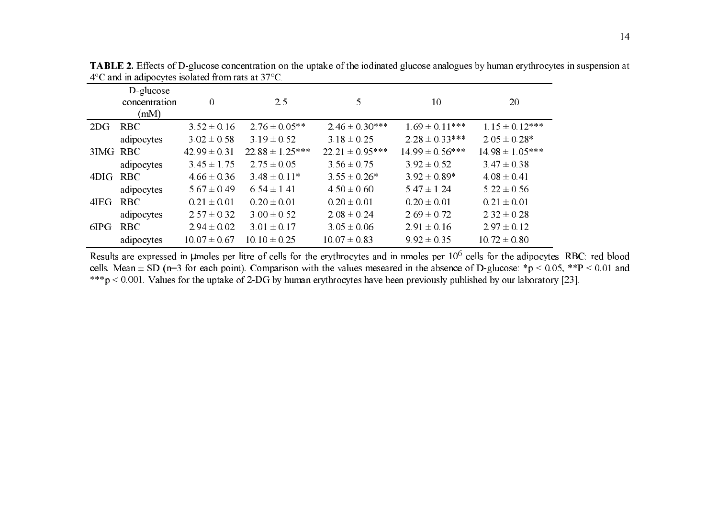|          | $D$ -glucose<br>concentration<br>(mM) | $\overline{0}$   | 2.5                 | 5.                  | 10                  | 20                  |
|----------|---------------------------------------|------------------|---------------------|---------------------|---------------------|---------------------|
| 2DG      | <b>RBC</b>                            | $3.52 \pm 0.16$  | $2.76 \pm 0.05**$   | $2.46 \pm 0.30***$  | $1.69 \pm 0.11***$  | $1.15 \pm 0.12***$  |
|          | adipocytes                            | $3.02 \pm 0.58$  | $3.19 \pm 0.52$     | $3.18 \pm 0.25$     | $2.28 \pm 0.33***$  | $2.05 \pm 0.28^*$   |
| 3IMG RBC |                                       | $42.99 \pm 0.31$ | $22.88 \pm 1.25***$ | $22.21 \pm 0.95***$ | $14.99 \pm 0.56***$ | $14.98 \pm 1.05***$ |
|          | adipocytes                            | $3.45 \pm 1.75$  | $2.75 \pm 0.05$     | $3.56 \pm 0.75$     | $3.92 \pm 0.52$     | $3.47 \pm 0.38$     |
| 4DIG RBC |                                       | $4.66 \pm 0.36$  | $3.48 \pm 0.11*$    | $3.55 \pm 0.26*$    | $3.92 \pm 0.89*$    | $4.08 \pm 0.41$     |
|          | adipocytes                            | $5.67 \pm 0.49$  | $6.54 \pm 1.41$     | $4.50 \pm 0.60$     | $5.47 \pm 1.24$     | $5.22 \pm 0.56$     |
| 4IEG     | <b>RBC</b>                            | $0.21 \pm 0.01$  | $0.20 \pm 0.01$     | $0.20 \pm 0.01$     | $0.20 \pm 0.01$     | $0.21 \pm 0.01$     |
|          | adipocytes                            | $2.57 \pm 0.32$  | $3.00 \pm 0.52$     | $2.08 \pm 0.24$     | $2.69 \pm 0.72$     | $2.32 \pm 0.28$     |
| 6IPG     | <b>RBC</b>                            | $2.94 \pm 0.02$  | $3.01 \pm 0.17$     | $3.05 \pm 0.06$     | $2.91 \pm 0.16$     | $2.97 \pm 0.12$     |
|          | adipocytes                            | $10.07 \pm 0.67$ | $10.10 \pm 0.25$    | $10.07 \pm 0.83$    | $9.92 \pm 0.35$     | $10.72 \pm 0.80$    |

TABLE 2. Effects of D-glucose concentration on the uptake of the iodinated glucose analogues by human erythrocytes in suspension at  $4^{\circ}$ C and in adipocytes isolated from rats at 37 $^{\circ}$ C.  $\overline{\phantom{0}}$ 

Results are expressed in umoles per litre of cells for the erythrocytes and in nmoles per  $10^6$  cells for the adipocytes. RBC: red blood cells. Mean  $\pm$  SD (n=3 for each point). Comparison with the values meseared in the absence of D-glucose: \*p < 0.05, \*\*P < 0.01 and \*\*\*p < 0.001. Values for the uptake of 2-DG by human erythrocytes have been previously published by our laboratory [23].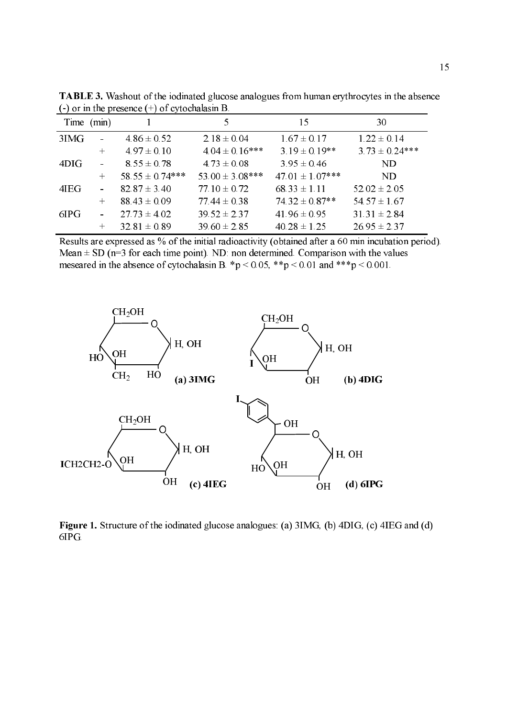|      | Time (min) |                     | 5.                  | 15                   | 30                 |
|------|------------|---------------------|---------------------|----------------------|--------------------|
| 3IMG |            | $4.86 \pm 0.52$     | $2.18 \pm 0.04$     | $1.67 \pm 0.17$      | $1.22 \pm 0.14$    |
|      | $+$        | $4.97 \pm 0.10$     | $4.04 \pm 0.16$ *** | $3.19 \pm 0.19$ **   | $3.73 \pm 0.24***$ |
| 4DIG |            | $8.55 \pm 0.78$     | $4.73 \pm 0.08$     | $3.95 \pm 0.46$      | ND.                |
|      | $+$        | $58.55 \pm 0.74***$ | 53.00 $\pm$ 3.08*** | $47.01 \pm 1.07$ *** | ND                 |
| 4IEG |            | $82.87 \pm 3.40$    | $77.10 \pm 0.72$    | $68.33 \pm 1.11$     | $52.02 \pm 2.05$   |
|      | $+$        | $88.43 \pm 0.09$    | $77.44 \pm 0.38$    | $74.32 \pm 0.87**$   | $54.57 \pm 1.67$   |
| 6IPG |            | $27.73 \pm 4.02$    | $39.52 \pm 2.37$    | $41.96 \pm 0.95$     | $31.31 \pm 2.84$   |
|      |            | $32.81 \pm 0.89$    | $39.60 \pm 2.85$    | $40.28 \pm 1.25$     | $26.95 \pm 2.37$   |

TABLE 3. Washout of the iodinated glucose analogues from human erythrocytes in the absence  $(-)$  or in the presence  $(+)$  of cytochalasin B.

Results are expressed as % of the initial radioactivity (obtained after a 60 min incubation period). Mean  $\pm$  SD (n=3 for each time point). ND: non determined. Comparison with the values meseared in the absence of cytochalasin B. \*p < 0.05, \*\*p < 0.01 and \*\*\*p < 0.001.



Figure 1. Structure of the iodinated glucose analogues: (a) 3IMG, (b) 4DIG, (c) 4IEG and (d) 6IPG.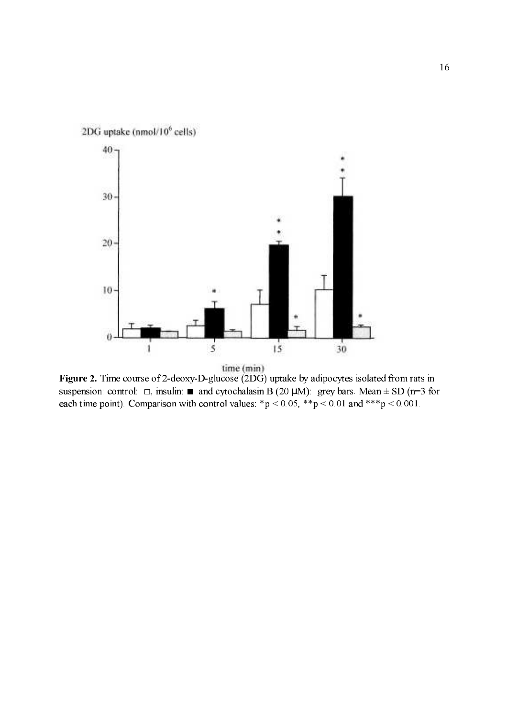

Figure 2. Time course of 2-deoxy-D-glucose (2DG) uptake by adipocytes isolated from rats in suspension: control:  $\Box$ , insulin:  $\blacksquare$  and cytochalasin B (20 µM): grey bars. Mean  $\pm$  SD (n=3 for each time point). Comparison with control values: \*p < 0.05, \*\*p < 0.01 and \*\*\*p < 0.001.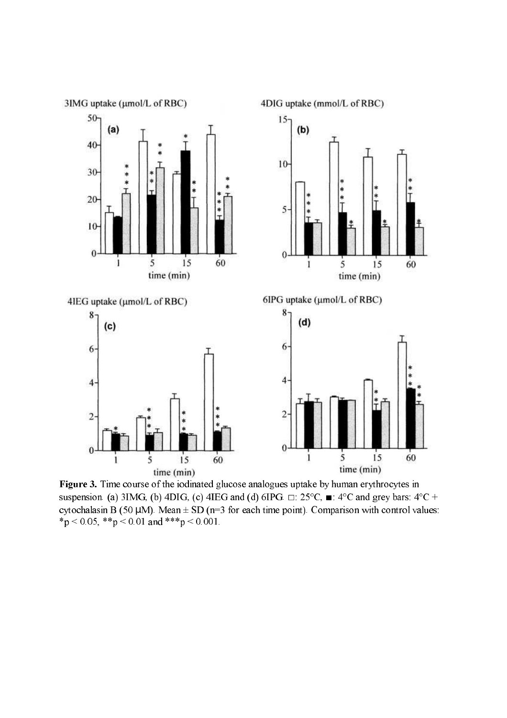

Figure 3. Time course of the iodinated glucose analogues uptake by human erythrocytes in suspension. (a) 3IMG, (b) 4DIG, (c) 4IEG and (d) 6IPG.  $\Box$ : 25°C,  $\blacksquare$ : 4°C and grey bars: 4°C + cytochalasin B (50  $\mu$ M). Mean  $\pm$  SD (n=3 for each time point). Comparison with control values:  $*p < 0.05$ ,  $* p < 0.01$  and  $* * p < 0.001$ .